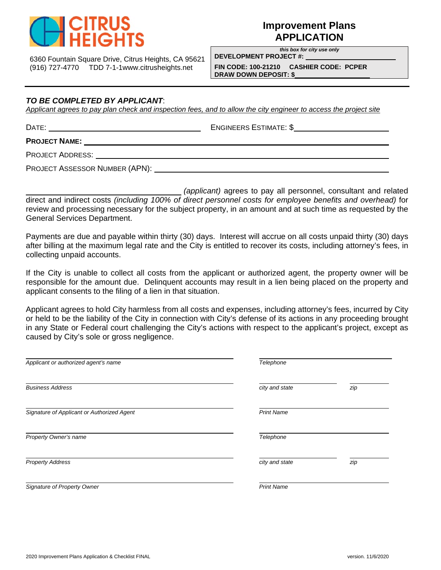

# **Improvement Plans APPLICATION**

*this box for city use only*

6360 Fountain Square Drive, Citrus Heights, CA 95621 (916) 727-4770 TDD 7-1-1www.citrusheights.net **FIN CODE: 100-21210 CASHIER CODE: PCPER** 

**DEVELOPMENT PROJECT #: DRAW DOWN DEPOSIT: \$** 

### *TO BE COMPLETED BY APPLICANT*:

*Applicant agrees to pay plan check and inspection fees, and to allow the city engineer to access the project site* 

DATE: ENGINEERS ESTIMATE: \$

**PROJECT NAME:**

PROJECT ADDRESS:

PROJECT ASSESSOR NUMBER (APN):

 *(applicant)* agrees to pay all personnel, consultant and related direct and indirect costs *(including 100% of direct personnel costs for employee benefits and overhead)* for review and processing necessary for the subject property, in an amount and at such time as requested by the General Services Department.

Payments are due and payable within thirty (30) days. Interest will accrue on all costs unpaid thirty (30) days after billing at the maximum legal rate and the City is entitled to recover its costs, including attorney's fees, in collecting unpaid accounts.

If the City is unable to collect all costs from the applicant or authorized agent, the property owner will be responsible for the amount due. Delinquent accounts may result in a lien being placed on the property and applicant consents to the filing of a lien in that situation.

Applicant agrees to hold City harmless from all costs and expenses, including attorney's fees, incurred by City or held to be the liability of the City in connection with City's defense of its actions in any proceeding brought in any State or Federal court challenging the City's actions with respect to the applicant's project, except as caused by City's sole or gross negligence.

| Applicant or authorized agent's name       | Telephone         |     |  |
|--------------------------------------------|-------------------|-----|--|
| <b>Business Address</b>                    | city and state    | zip |  |
| Signature of Applicant or Authorized Agent | <b>Print Name</b> |     |  |
| Property Owner's name                      | Telephone         |     |  |
| <b>Property Address</b>                    | city and state    | zip |  |
| Signature of Property Owner                | <b>Print Name</b> |     |  |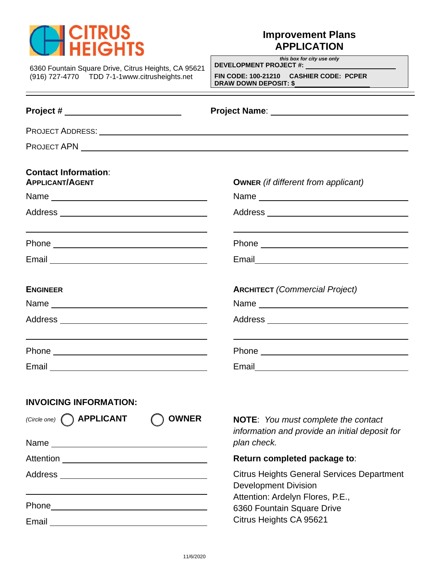

# **Improvement Plans APPLICATION**

6360 Fountain Square Drive, Citrus Heights, CA 95621 (916) 727-4770 TDD 7-1-1www.citrusheights.net **FIN CODE: 100-21210 CASHIER CODE: PCPER** 

*this box for city use only* **DEVELOPMENT PROJECT #:** 

**DRAW DOWN DEPOSIT: \$** 

| Project # ___________________________                      |                                                                                           |  |
|------------------------------------------------------------|-------------------------------------------------------------------------------------------|--|
|                                                            |                                                                                           |  |
|                                                            |                                                                                           |  |
| <b>Contact Information:</b><br><b>APPLICANT/AGENT</b>      | <b>OWNER</b> (if different from applicant)                                                |  |
|                                                            |                                                                                           |  |
| <u> 1989 - Johann Stoff, amerikansk politiker (* 1908)</u> |                                                                                           |  |
| <b>ENGINEER</b>                                            | <b>ARCHITECT</b> (Commercial Project)                                                     |  |
|                                                            |                                                                                           |  |
|                                                            |                                                                                           |  |
| <b>INVOICING INFORMATION:</b>                              | (Circle one) $\bigcap$ APPLICANT $\bigcap$ OWNER NOTE: You must complete the contact      |  |
|                                                            | information and provide an initial deposit for<br>plan check.                             |  |
|                                                            | Return completed package to:                                                              |  |
|                                                            | <b>Citrus Heights General Services Department</b><br><b>Development Division</b>          |  |
|                                                            | Attention: Ardelyn Flores, P.E.,<br>6360 Fountain Square Drive<br>Citrus Heights CA 95621 |  |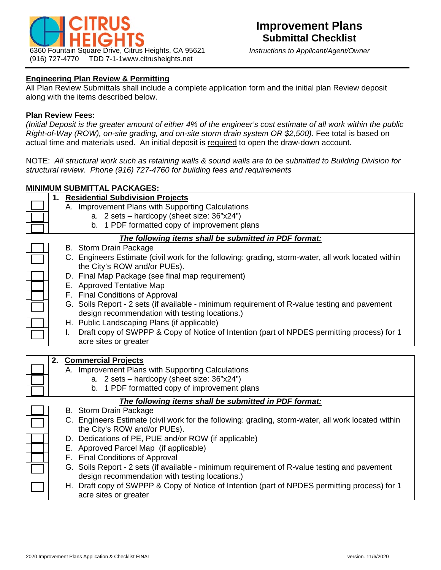

### **Engineering Plan Review & Permitting**

All Plan Review Submittals shall include a complete application form and the initial plan Review deposit along with the items described below.

#### **Plan Review Fees:**

*(Initial Deposit is the greater amount of either 4% of the engineer's cost estimate of all work within the public Right-of-Way (ROW), on-site grading, and on-site storm drain system OR \$2,500).* Fee total is based on actual time and materials used. An initial deposit is required to open the draw-down account.

NOTE: *All structural work such as retaining walls & sound walls are to be submitted to Building Division for structural review. Phone (916) 727-4760 for building fees and requirements*

### **MINIMUM SUBMITTAL PACKAGES:**

| 1. Residential Subdivision Projects                                                                                                            |  |  |  |
|------------------------------------------------------------------------------------------------------------------------------------------------|--|--|--|
| A. Improvement Plans with Supporting Calculations                                                                                              |  |  |  |
| a. 2 sets - hardcopy (sheet size: 36"x24")                                                                                                     |  |  |  |
| b. 1 PDF formatted copy of improvement plans                                                                                                   |  |  |  |
| The following items shall be submitted in PDF format:                                                                                          |  |  |  |
| B. Storm Drain Package                                                                                                                         |  |  |  |
| C. Engineers Estimate (civil work for the following: grading, storm-water, all work located within<br>the City's ROW and/or PUEs).             |  |  |  |
| D. Final Map Package (see final map requirement)                                                                                               |  |  |  |
| E. Approved Tentative Map                                                                                                                      |  |  |  |
| F. Final Conditions of Approval                                                                                                                |  |  |  |
| G. Soils Report - 2 sets (if available - minimum requirement of R-value testing and pavement<br>design recommendation with testing locations.) |  |  |  |
| H. Public Landscaping Plans (if applicable)                                                                                                    |  |  |  |
| Draft copy of SWPPP & Copy of Notice of Intention (part of NPDES permitting process) for 1<br>$\mathbf{L}$                                     |  |  |  |
| acre sites or greater                                                                                                                          |  |  |  |
|                                                                                                                                                |  |  |  |
| 2. Commercial Projects                                                                                                                         |  |  |  |
| A. Improvement Plans with Supporting Calculations                                                                                              |  |  |  |
| a. 2 sets - hardcopy (sheet size: 36"x24")                                                                                                     |  |  |  |
| b. 1 PDF formatted copy of improvement plans                                                                                                   |  |  |  |
| The following items shall be submitted in PDF format:                                                                                          |  |  |  |
| <b>B.</b> Storm Drain Package                                                                                                                  |  |  |  |
| C. Engineers Estimate (civil work for the following: grading, storm-water, all work located within<br>the City's ROW and/or PUEs).             |  |  |  |
| D. Dedications of PE, PUE and/or ROW (if applicable)                                                                                           |  |  |  |
| E. Approved Parcel Map (if applicable)                                                                                                         |  |  |  |
| F. Final Conditions of Approval                                                                                                                |  |  |  |
| G. Soils Report - 2 sets (if available - minimum requirement of R-value testing and pavement                                                   |  |  |  |
| design recommendation with testing locations.)                                                                                                 |  |  |  |
| H. Draft copy of SWPPP & Copy of Notice of Intention (part of NPDES permitting process) for 1<br>acre sites or greater                         |  |  |  |